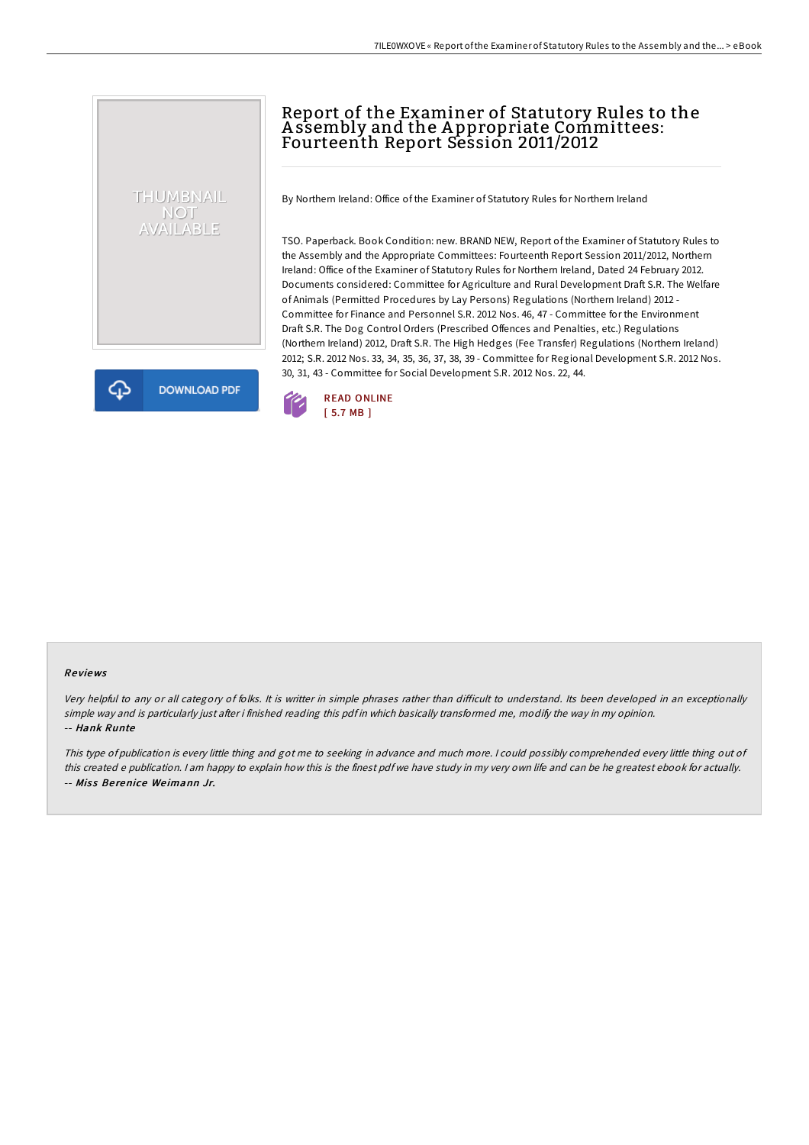# Report of the Examiner of Statutory Rules to the A ssembly and the A ppropriate Committees: Fourteenth Report Session 2011/2012

By Northern Ireland: Office of the Examiner of Statutory Rules for Northern Ireland

TSO. Paperback. Book Condition: new. BRAND NEW, Report of the Examiner of Statutory Rules to the Assembly and the Appropriate Committees: Fourteenth Report Session 2011/2012, Northern Ireland: Office of the Examiner of Statutory Rules for Northern Ireland, Dated 24 February 2012. Documents considered: Committee for Agriculture and Rural Development Draft S.R. The Welfare of Animals (Permitted Procedures by Lay Persons) Regulations (Northern Ireland) 2012 - Committee for Finance and Personnel S.R. 2012 Nos. 46, 47 - Committee for the Environment Draft S.R. The Dog Control Orders (Prescribed Offences and Penalties, etc.) Regulations (Northern Ireland) 2012, Draft S.R. The High Hedges (Fee Transfer) Regulations (Northern Ireland) 2012; S.R. 2012 Nos. 33, 34, 35, 36, 37, 38, 39 - Committee for Regional Development S.R. 2012 Nos. 30, 31, 43 - Committee for Social Development S.R. 2012 Nos. 22, 44.



#### Re views

THUMBNAIL NOT<br>AVAILABLE

**DOWNLOAD PDF** 

Very helpful to any or all category of folks. It is writter in simple phrases rather than difficult to understand. Its been developed in an exceptionally simple way and is particularly just after i finished reading this pdf in which basically transformed me, modify the way in my opinion. -- Hank Runte

This type of publication is every little thing and got me to seeking in advance and much more. <sup>I</sup> could possibly comprehended every little thing out of this created <sup>e</sup> publication. <sup>I</sup> am happy to explain how this is the finest pdf we have study in my very own life and can be he greatest ebook for actually. -- Miss Berenice Weimann Jr.